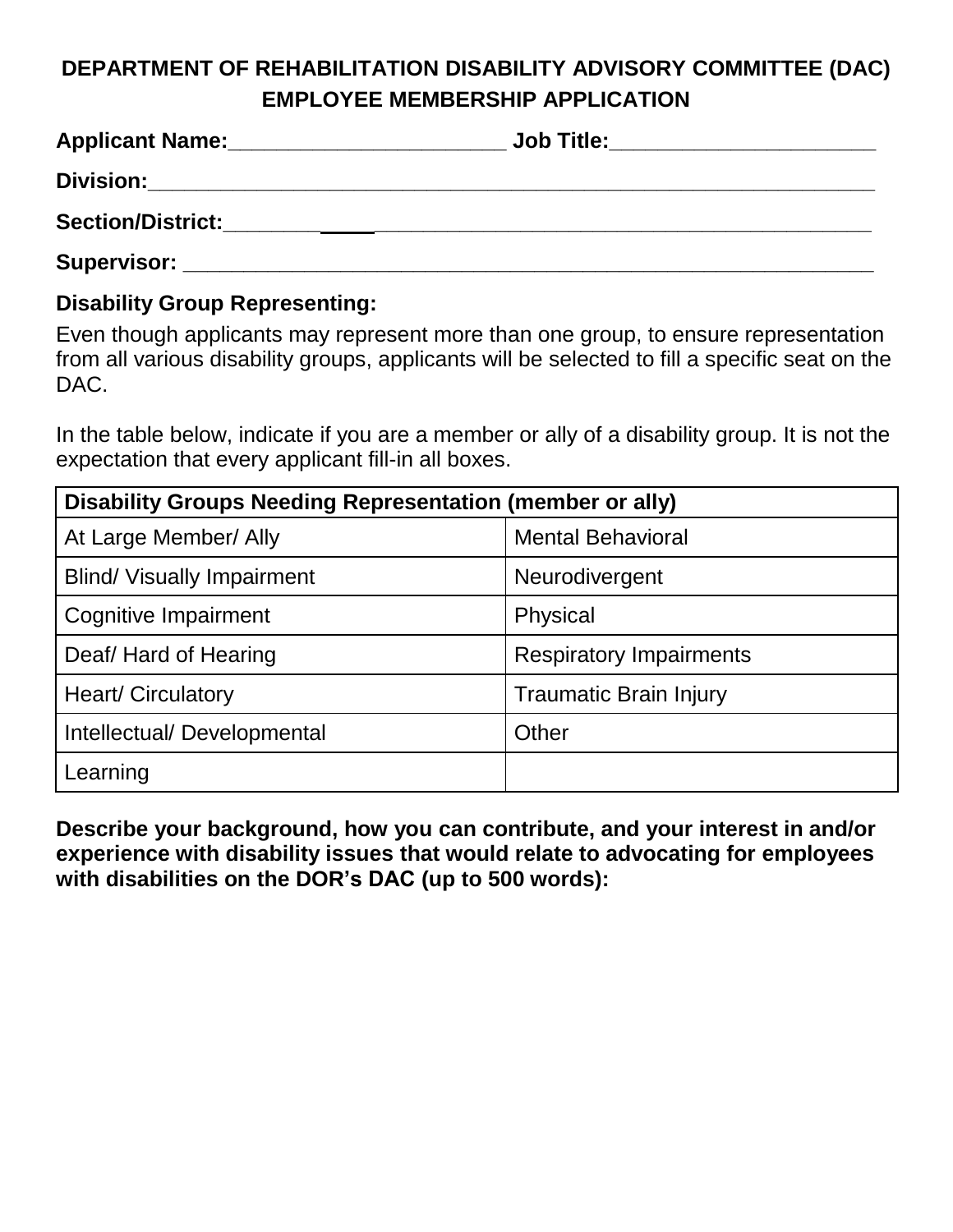## **DEPARTMENT OF REHABILITATION DISABILITY ADVISORY COMMITTEE (DAC) EMPLOYEE MEMBERSHIP APPLICATION**

| <b>Applicant Name:</b> | <b>Job Title:</b> |
|------------------------|-------------------|
| <b>Division:</b>       |                   |
| Section/District:      |                   |
| Supervisor:            |                   |

## **Disability Group Representing:**

Even though applicants may represent more than one group, to ensure representation from all various disability groups, applicants will be selected to fill a specific seat on the DAC.

In the table below, indicate if you are a member or ally of a disability group. It is not the expectation that every applicant fill-in all boxes.

| Disability Groups Needing Representation (member or ally) |                                |  |
|-----------------------------------------------------------|--------------------------------|--|
| At Large Member/ Ally                                     | <b>Mental Behavioral</b>       |  |
| <b>Blind/ Visually Impairment</b>                         | Neurodivergent                 |  |
| Cognitive Impairment                                      | Physical                       |  |
| Deaf/Hard of Hearing                                      | <b>Respiratory Impairments</b> |  |
| <b>Heart/Circulatory</b>                                  | <b>Traumatic Brain Injury</b>  |  |
| Intellectual/ Developmental                               | Other                          |  |
| Learning                                                  |                                |  |

**Describe your background, how you can contribute, and your interest in and/or experience with disability issues that would relate to advocating for employees with disabilities on the DOR's DAC (up to 500 words):**